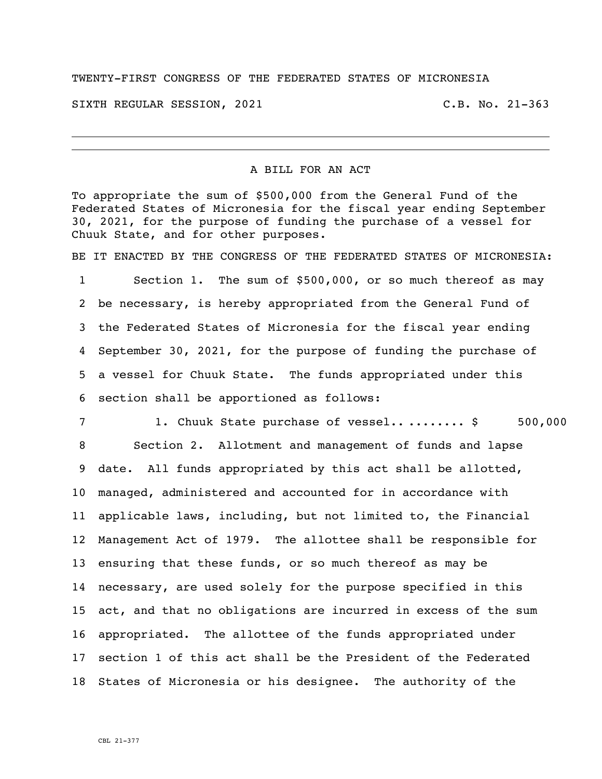## TWENTY-FIRST CONGRESS OF THE FEDERATED STATES OF MICRONESIA

SIXTH REGULAR SESSION, 2021 C.B. No. 21-363

## A BILL FOR AN ACT

To appropriate the sum of \$500,000 from the General Fund of the Federated States of Micronesia for the fiscal year ending September 30, 2021, for the purpose of funding the purchase of a vessel for Chuuk State, and for other purposes.

BE IT ENACTED BY THE CONGRESS OF THE FEDERATED STATES OF MICRONESIA:

 Section 1. The sum of \$500,000, or so much thereof as may be necessary, is hereby appropriated from the General Fund of the Federated States of Micronesia for the fiscal year ending September 30, 2021, for the purpose of funding the purchase of a vessel for Chuuk State. The funds appropriated under this section shall be apportioned as follows:

7 1. Chuuk State purchase of vessel............\$ 500,000 Section 2. Allotment and management of funds and lapse date. All funds appropriated by this act shall be allotted, managed, administered and accounted for in accordance with applicable laws, including, but not limited to, the Financial Management Act of 1979. The allottee shall be responsible for ensuring that these funds, or so much thereof as may be necessary, are used solely for the purpose specified in this act, and that no obligations are incurred in excess of the sum appropriated. The allottee of the funds appropriated under section 1 of this act shall be the President of the Federated States of Micronesia or his designee. The authority of the